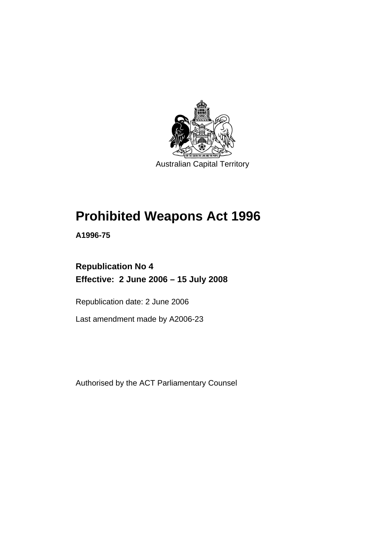

# **[Prohibited Weapons Act 1996](#page-4-0)**

**A1996-75** 

### **Republication No 4 Effective: 2 June 2006 – 15 July 2008**

Republication date: 2 June 2006

Last amendment made by A2006-23

Authorised by the ACT Parliamentary Counsel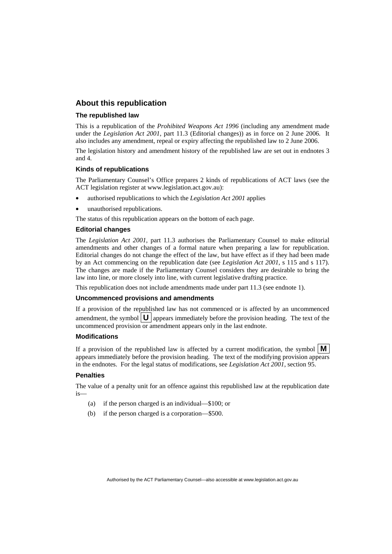#### **About this republication**

#### **The republished law**

This is a republication of the *Prohibited Weapons Act 1996* (including any amendment made under the *Legislation Act 2001*, part 11.3 (Editorial changes)) as in force on 2 June 2006*.* It also includes any amendment, repeal or expiry affecting the republished law to 2 June 2006.

The legislation history and amendment history of the republished law are set out in endnotes 3 and 4.

#### **Kinds of republications**

The Parliamentary Counsel's Office prepares 2 kinds of republications of ACT laws (see the ACT legislation register at www.legislation.act.gov.au):

- authorised republications to which the *Legislation Act 2001* applies
- unauthorised republications.

The status of this republication appears on the bottom of each page.

#### **Editorial changes**

The *Legislation Act 2001*, part 11.3 authorises the Parliamentary Counsel to make editorial amendments and other changes of a formal nature when preparing a law for republication. Editorial changes do not change the effect of the law, but have effect as if they had been made by an Act commencing on the republication date (see *Legislation Act 2001*, s 115 and s 117). The changes are made if the Parliamentary Counsel considers they are desirable to bring the law into line, or more closely into line, with current legislative drafting practice.

This republication does not include amendments made under part 11.3 (see endnote 1).

#### **Uncommenced provisions and amendments**

If a provision of the republished law has not commenced or is affected by an uncommenced amendment, the symbol  $\mathbf{U}$  appears immediately before the provision heading. The text of the uncommenced provision or amendment appears only in the last endnote.

#### **Modifications**

If a provision of the republished law is affected by a current modification, the symbol  $\mathbf{M}$ appears immediately before the provision heading. The text of the modifying provision appears in the endnotes. For the legal status of modifications, see *Legislation Act 2001*, section 95.

#### **Penalties**

The value of a penalty unit for an offence against this republished law at the republication date is—

- (a) if the person charged is an individual—\$100; or
- (b) if the person charged is a corporation—\$500.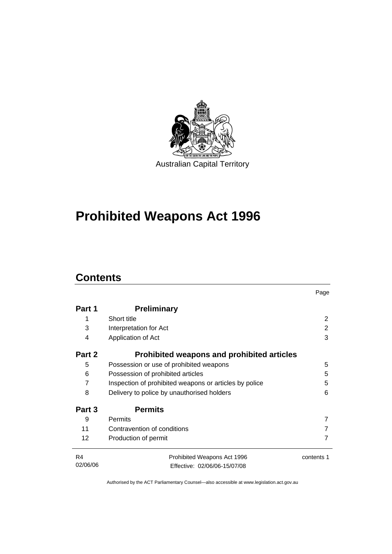

# **[Prohibited Weapons Act 1996](#page-4-0)**

### **Contents**

|                |                                                        | Page       |  |
|----------------|--------------------------------------------------------|------------|--|
| Part 1         | <b>Preliminary</b>                                     |            |  |
| 1              | Short title                                            | 2          |  |
| 3              | Interpretation for Act                                 | 2          |  |
| 4              | Application of Act                                     | 3          |  |
| Part 2         | Prohibited weapons and prohibited articles             |            |  |
| 5              | Possession or use of prohibited weapons                | 5          |  |
| 6              | Possession of prohibited articles                      |            |  |
| 7              | Inspection of prohibited weapons or articles by police |            |  |
| 8              | Delivery to police by unauthorised holders             |            |  |
| Part 3         | <b>Permits</b>                                         |            |  |
| 9              | Permits                                                | 7          |  |
| 11             | Contravention of conditions                            |            |  |
| 12             | Production of permit                                   | 7          |  |
| R <sub>4</sub> | Prohibited Weapons Act 1996                            | contents 1 |  |
| 02/06/06       | Effective: 02/06/06-15/07/08                           |            |  |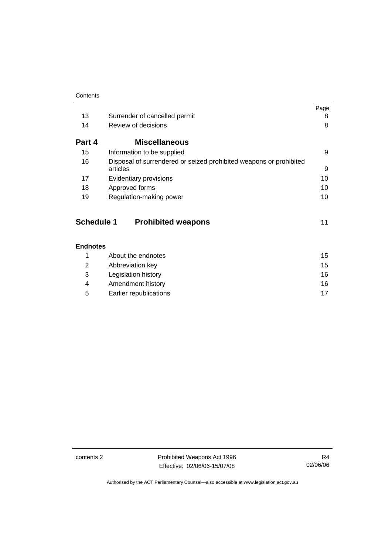|        |                                                                    | Page |
|--------|--------------------------------------------------------------------|------|
| 13     | Surrender of cancelled permit                                      | 8    |
| 14     | Review of decisions                                                | 8    |
| Part 4 | <b>Miscellaneous</b>                                               |      |
| 15     | Information to be supplied                                         | 9    |
| 16     | Disposal of surrendered or seized prohibited weapons or prohibited |      |
|        | articles                                                           | 9    |
| 17     | Evidentiary provisions                                             | 10   |
| 18     | Approved forms                                                     | 10   |
| 19     | Regulation-making power                                            | 10   |

| <b>Schedule 1</b> | <b>Prohibited weapons</b> |  |
|-------------------|---------------------------|--|
|-------------------|---------------------------|--|

|   | About the endnotes     | 15 |
|---|------------------------|----|
| 2 | Abbreviation key       | 15 |
| 3 | Legislation history    | 16 |
| 4 | Amendment history      | 16 |
| 5 | Earlier republications | 17 |

contents 2 **Prohibited Weapons Act 1996** Effective: 02/06/06-15/07/08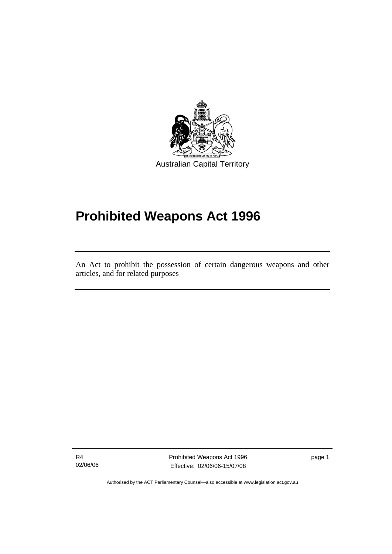<span id="page-4-0"></span>

# **Prohibited Weapons Act 1996**

An Act to prohibit the possession of certain dangerous weapons and other articles, and for related purposes

R4 02/06/06

l

Prohibited Weapons Act 1996 Effective: 02/06/06-15/07/08

page 1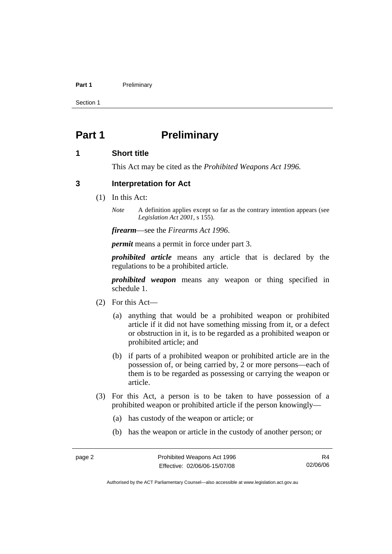#### <span id="page-5-0"></span>Part 1 **Preliminary**

Section 1

### **Part 1** Preliminary

#### **1 Short title**

This Act may be cited as the *Prohibited Weapons Act 1996.*

#### **3 Interpretation for Act**

(1) In this Act:

*Note* A definition applies except so far as the contrary intention appears (see *Legislation Act 2001*, s 155).

*firearm*—see the *Firearms Act 1996*.

*permit* means a permit in force under part 3.

*prohibited article* means any article that is declared by the regulations to be a prohibited article.

*prohibited weapon* means any weapon or thing specified in schedule 1.

- (2) For this Act—
	- (a) anything that would be a prohibited weapon or prohibited article if it did not have something missing from it, or a defect or obstruction in it, is to be regarded as a prohibited weapon or prohibited article; and
	- (b) if parts of a prohibited weapon or prohibited article are in the possession of, or being carried by, 2 or more persons—each of them is to be regarded as possessing or carrying the weapon or article.
- (3) For this Act, a person is to be taken to have possession of a prohibited weapon or prohibited article if the person knowingly—
	- (a) has custody of the weapon or article; or
	- (b) has the weapon or article in the custody of another person; or

R4 02/06/06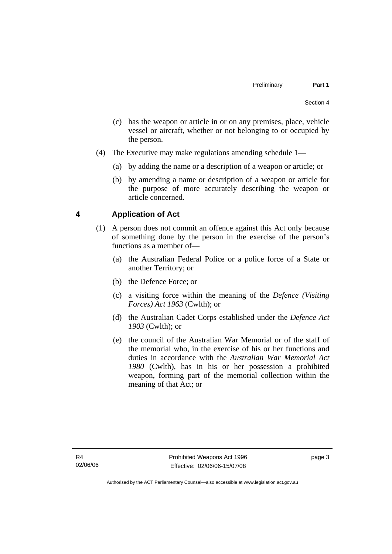- <span id="page-6-0"></span> (c) has the weapon or article in or on any premises, place, vehicle vessel or aircraft, whether or not belonging to or occupied by the person.
- (4) The Executive may make regulations amending schedule 1—
	- (a) by adding the name or a description of a weapon or article; or
	- (b) by amending a name or description of a weapon or article for the purpose of more accurately describing the weapon or article concerned.

#### **4 Application of Act**

- (1) A person does not commit an offence against this Act only because of something done by the person in the exercise of the person's functions as a member of—
	- (a) the Australian Federal Police or a police force of a State or another Territory; or
	- (b) the Defence Force; or
	- (c) a visiting force within the meaning of the *Defence (Visiting Forces) Act 1963* (Cwlth); or
	- (d) the Australian Cadet Corps established under the *Defence Act 1903* (Cwlth); or
	- (e) the council of the Australian War Memorial or of the staff of the memorial who, in the exercise of his or her functions and duties in accordance with the *Australian War Memorial Act 1980* (Cwlth), has in his or her possession a prohibited weapon, forming part of the memorial collection within the meaning of that Act; or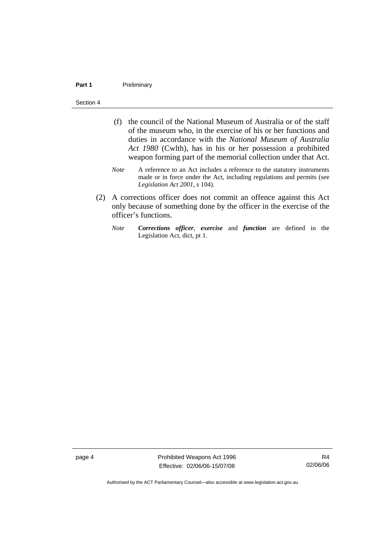#### Part 1 **Preliminary**

#### Section 4

- (f) the council of the National Museum of Australia or of the staff of the museum who, in the exercise of his or her functions and duties in accordance with the *National Museum of Australia Act 1980* (Cwlth), has in his or her possession a prohibited weapon forming part of the memorial collection under that Act.
- *Note* A reference to an Act includes a reference to the statutory instruments made or in force under the Act, including regulations and permits (see *Legislation Act 2001*, s 104).
- (2) A corrections officer does not commit an offence against this Act only because of something done by the officer in the exercise of the officer's functions.
	- *Note Corrections officer*, *exercise* and *function* are defined in the Legislation Act, dict, pt 1.

page 4 **Prohibited Weapons Act 1996** Effective: 02/06/06-15/07/08

R4 02/06/06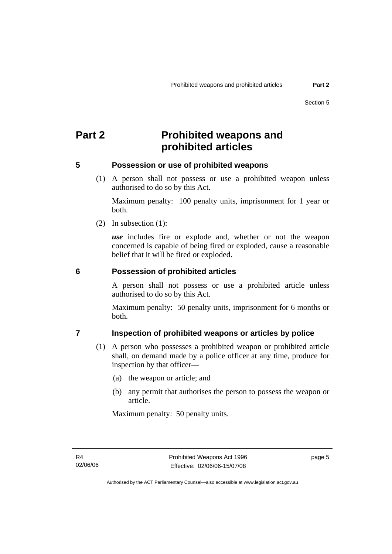### <span id="page-8-0"></span>**Part 2 Prohibited weapons and prohibited articles**

#### **5 Possession or use of prohibited weapons**

 (1) A person shall not possess or use a prohibited weapon unless authorised to do so by this Act.

Maximum penalty: 100 penalty units, imprisonment for 1 year or both.

(2) In subsection (1):

*use* includes fire or explode and, whether or not the weapon concerned is capable of being fired or exploded, cause a reasonable belief that it will be fired or exploded.

#### **6 Possession of prohibited articles**

A person shall not possess or use a prohibited article unless authorised to do so by this Act.

Maximum penalty: 50 penalty units, imprisonment for 6 months or both.

#### **7 Inspection of prohibited weapons or articles by police**

- (1) A person who possesses a prohibited weapon or prohibited article shall, on demand made by a police officer at any time, produce for inspection by that officer—
	- (a) the weapon or article; and
	- (b) any permit that authorises the person to possess the weapon or article.

Maximum penalty: 50 penalty units.

page 5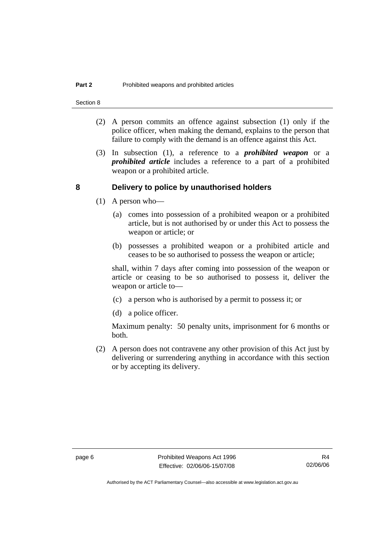- <span id="page-9-0"></span> (2) A person commits an offence against subsection (1) only if the police officer, when making the demand, explains to the person that failure to comply with the demand is an offence against this Act.
- (3) In subsection (1), a reference to a *prohibited weapon* or a *prohibited article* includes a reference to a part of a prohibited weapon or a prohibited article.

#### **8 Delivery to police by unauthorised holders**

- (1) A person who—
	- (a) comes into possession of a prohibited weapon or a prohibited article, but is not authorised by or under this Act to possess the weapon or article; or
	- (b) possesses a prohibited weapon or a prohibited article and ceases to be so authorised to possess the weapon or article;

shall, within 7 days after coming into possession of the weapon or article or ceasing to be so authorised to possess it, deliver the weapon or article to—

- (c) a person who is authorised by a permit to possess it; or
- (d) a police officer.

Maximum penalty: 50 penalty units, imprisonment for 6 months or both.

 (2) A person does not contravene any other provision of this Act just by delivering or surrendering anything in accordance with this section or by accepting its delivery.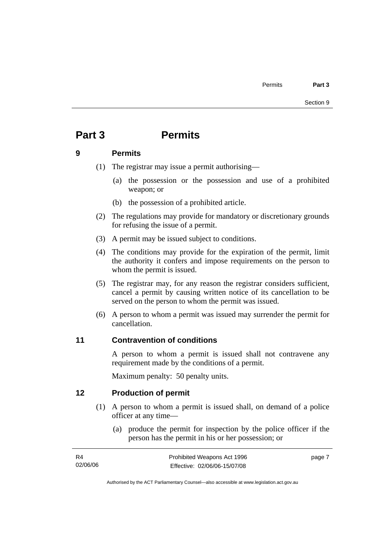### <span id="page-10-0"></span>**Part 3 Permits**

#### **9 Permits**

(1) The registrar may issue a permit authorising—

- (a) the possession or the possession and use of a prohibited weapon; or
- (b) the possession of a prohibited article.
- (2) The regulations may provide for mandatory or discretionary grounds for refusing the issue of a permit.
- (3) A permit may be issued subject to conditions.
- (4) The conditions may provide for the expiration of the permit, limit the authority it confers and impose requirements on the person to whom the permit is issued.
- (5) The registrar may, for any reason the registrar considers sufficient, cancel a permit by causing written notice of its cancellation to be served on the person to whom the permit was issued.
- (6) A person to whom a permit was issued may surrender the permit for cancellation.

#### **11 Contravention of conditions**

A person to whom a permit is issued shall not contravene any requirement made by the conditions of a permit.

Maximum penalty: 50 penalty units.

#### **12 Production of permit**

- (1) A person to whom a permit is issued shall, on demand of a police officer at any time—
	- (a) produce the permit for inspection by the police officer if the person has the permit in his or her possession; or

| <b>R4</b> | Prohibited Weapons Act 1996  | page 7 |
|-----------|------------------------------|--------|
| 02/06/06  | Effective: 02/06/06-15/07/08 |        |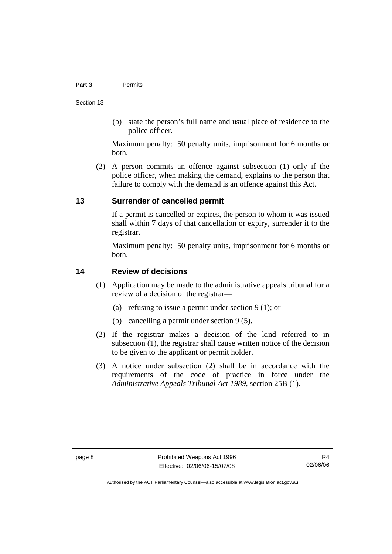#### <span id="page-11-0"></span>**Part 3** Permits

Section 13

 (b) state the person's full name and usual place of residence to the police officer.

Maximum penalty: 50 penalty units, imprisonment for 6 months or both.

 (2) A person commits an offence against subsection (1) only if the police officer, when making the demand, explains to the person that failure to comply with the demand is an offence against this Act.

#### **13 Surrender of cancelled permit**

If a permit is cancelled or expires, the person to whom it was issued shall within 7 days of that cancellation or expiry, surrender it to the registrar.

Maximum penalty: 50 penalty units, imprisonment for 6 months or both.

#### **14 Review of decisions**

- (1) Application may be made to the administrative appeals tribunal for a review of a decision of the registrar—
	- (a) refusing to issue a permit under section 9 (1); or
	- (b) cancelling a permit under section 9 (5).
- (2) If the registrar makes a decision of the kind referred to in subsection (1), the registrar shall cause written notice of the decision to be given to the applicant or permit holder.
- (3) A notice under subsection (2) shall be in accordance with the requirements of the code of practice in force under the *Administrative Appeals Tribunal Act 1989*, section 25B (1).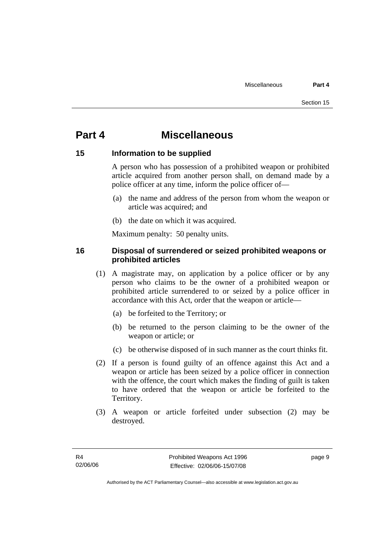### <span id="page-12-0"></span>**Part 4 Miscellaneous**

#### **15 Information to be supplied**

A person who has possession of a prohibited weapon or prohibited article acquired from another person shall, on demand made by a police officer at any time, inform the police officer of—

- (a) the name and address of the person from whom the weapon or article was acquired; and
- (b) the date on which it was acquired.

Maximum penalty: 50 penalty units.

#### **16 Disposal of surrendered or seized prohibited weapons or prohibited articles**

- (1) A magistrate may, on application by a police officer or by any person who claims to be the owner of a prohibited weapon or prohibited article surrendered to or seized by a police officer in accordance with this Act, order that the weapon or article—
	- (a) be forfeited to the Territory; or
	- (b) be returned to the person claiming to be the owner of the weapon or article; or
	- (c) be otherwise disposed of in such manner as the court thinks fit.
- (2) If a person is found guilty of an offence against this Act and a weapon or article has been seized by a police officer in connection with the offence, the court which makes the finding of guilt is taken to have ordered that the weapon or article be forfeited to the Territory.
- (3) A weapon or article forfeited under subsection (2) may be destroyed.

page 9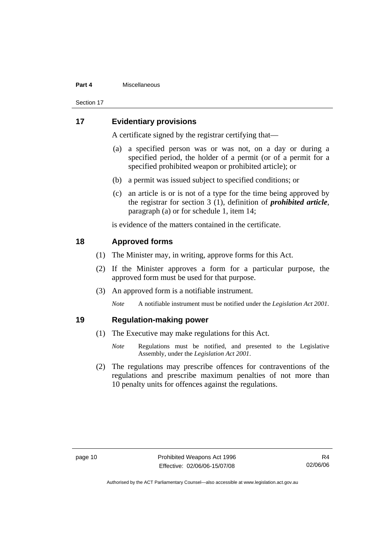#### <span id="page-13-0"></span>**Part 4** Miscellaneous

Section 17

#### **17 Evidentiary provisions**

A certificate signed by the registrar certifying that—

- (a) a specified person was or was not, on a day or during a specified period, the holder of a permit (or of a permit for a specified prohibited weapon or prohibited article); or
- (b) a permit was issued subject to specified conditions; or
- (c) an article is or is not of a type for the time being approved by the registrar for section 3 (1), definition of *prohibited article*, paragraph (a) or for schedule 1, item 14;

is evidence of the matters contained in the certificate.

#### **18 Approved forms**

- (1) The Minister may, in writing, approve forms for this Act.
- (2) If the Minister approves a form for a particular purpose, the approved form must be used for that purpose.
- (3) An approved form is a notifiable instrument.

*Note* A notifiable instrument must be notified under the *Legislation Act 2001*.

#### **19 Regulation-making power**

- (1) The Executive may make regulations for this Act.
	- *Note* Regulations must be notified, and presented to the Legislative Assembly, under the *Legislation Act 2001*.
- (2) The regulations may prescribe offences for contraventions of the regulations and prescribe maximum penalties of not more than 10 penalty units for offences against the regulations.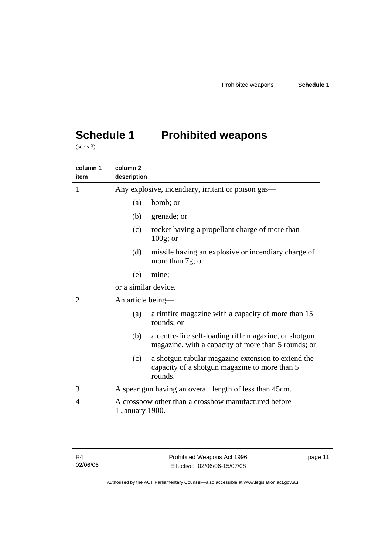## <span id="page-14-0"></span>**Schedule 1 Prohibited weapons**

(see s 3)

| column 1<br>item | column <sub>2</sub><br>description                 |                                                                                                                |  |
|------------------|----------------------------------------------------|----------------------------------------------------------------------------------------------------------------|--|
| 1                | Any explosive, incendiary, irritant or poison gas— |                                                                                                                |  |
|                  | (a)                                                | bomb; or                                                                                                       |  |
|                  | (b)                                                | grenade; or                                                                                                    |  |
|                  | (c)                                                | rocket having a propellant charge of more than<br>$100g$ ; or                                                  |  |
|                  | (d)                                                | missile having an explosive or incendiary charge of<br>more than 7g; or                                        |  |
|                  | (e)                                                | mine;                                                                                                          |  |
|                  | or a similar device.                               |                                                                                                                |  |
| 2                |                                                    | An article being—                                                                                              |  |
|                  | (a)                                                | a rimfire magazine with a capacity of more than 15<br>rounds; or                                               |  |
|                  | (b)                                                | a centre-fire self-loading rifle magazine, or shotgun<br>magazine, with a capacity of more than 5 rounds; or   |  |
|                  | (c)                                                | a shotgun tubular magazine extension to extend the<br>capacity of a shotgun magazine to more than 5<br>rounds. |  |
| 3                |                                                    | A spear gun having an overall length of less than 45cm.                                                        |  |
| 4                | 1 January 1900.                                    | A crossbow other than a crossbow manufactured before                                                           |  |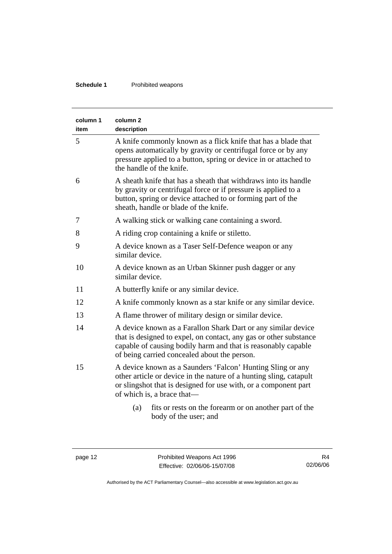#### **Schedule 1** Prohibited weapons

| column 1<br>item | column <sub>2</sub><br>description                                                                                                                                                                                                                  |  |
|------------------|-----------------------------------------------------------------------------------------------------------------------------------------------------------------------------------------------------------------------------------------------------|--|
| 5                | A knife commonly known as a flick knife that has a blade that<br>opens automatically by gravity or centrifugal force or by any<br>pressure applied to a button, spring or device in or attached to<br>the handle of the knife.                      |  |
| 6                | A sheath knife that has a sheath that withdraws into its handle<br>by gravity or centrifugal force or if pressure is applied to a<br>button, spring or device attached to or forming part of the<br>sheath, handle or blade of the knife.           |  |
| 7                | A walking stick or walking cane containing a sword.                                                                                                                                                                                                 |  |
| 8                | A riding crop containing a knife or stiletto.                                                                                                                                                                                                       |  |
| 9                | A device known as a Taser Self-Defence weapon or any<br>similar device.                                                                                                                                                                             |  |
| 10               | A device known as an Urban Skinner push dagger or any<br>similar device.                                                                                                                                                                            |  |
| 11               | A butterfly knife or any similar device.                                                                                                                                                                                                            |  |
| 12               | A knife commonly known as a star knife or any similar device.                                                                                                                                                                                       |  |
| 13               | A flame thrower of military design or similar device.                                                                                                                                                                                               |  |
| 14               | A device known as a Farallon Shark Dart or any similar device<br>that is designed to expel, on contact, any gas or other substance<br>capable of causing bodily harm and that is reasonably capable<br>of being carried concealed about the person. |  |
| 15               | A device known as a Saunders 'Falcon' Hunting Sling or any<br>other article or device in the nature of a hunting sling, catapult<br>or slingshot that is designed for use with, or a component part<br>of which is, a brace that—                   |  |
|                  | fits or rests on the forearm or on another part of the<br>(a)<br>body of the user; and                                                                                                                                                              |  |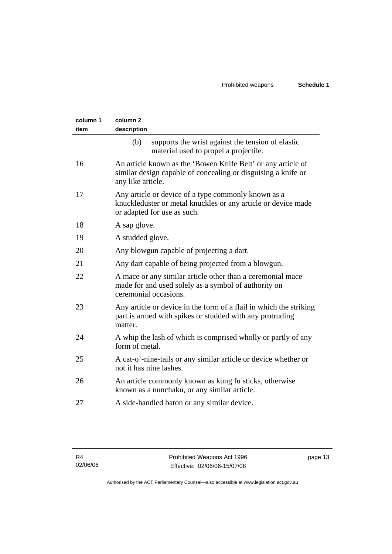| column 1<br>item | column <sub>2</sub><br>description                                                                                                                  |
|------------------|-----------------------------------------------------------------------------------------------------------------------------------------------------|
|                  | (b)<br>supports the wrist against the tension of elastic<br>material used to propel a projectile.                                                   |
| 16               | An article known as the 'Bowen Knife Belt' or any article of<br>similar design capable of concealing or disguising a knife or<br>any like article.  |
| 17               | Any article or device of a type commonly known as a<br>knuckleduster or metal knuckles or any article or device made<br>or adapted for use as such. |
| 18               | A sap glove.                                                                                                                                        |
| 19               | A studded glove.                                                                                                                                    |
| 20               | Any blowgun capable of projecting a dart.                                                                                                           |
| 21               | Any dart capable of being projected from a blowgun.                                                                                                 |
| 22               | A mace or any similar article other than a ceremonial mace<br>made for and used solely as a symbol of authority on<br>ceremonial occasions.         |
| 23               | Any article or device in the form of a flail in which the striking<br>part is armed with spikes or studded with any protruding<br>matter.           |
| 24               | A whip the lash of which is comprised wholly or partly of any<br>form of metal.                                                                     |
| 25               | A cat-o'-nine-tails or any similar article or device whether or<br>not it has nine lashes.                                                          |
| 26               | An article commonly known as kung fu sticks, otherwise<br>known as a nunchaku, or any similar article.                                              |
| 27               | A side-handled baton or any similar device.                                                                                                         |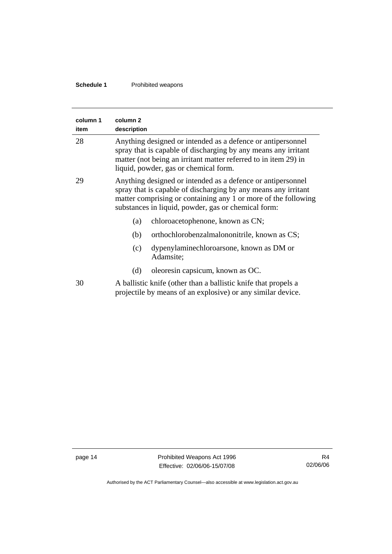#### **Schedule 1** Prohibited weapons

| column 1<br>item | column <sub>2</sub><br>description                                                                                                                                                                                                                     |  |
|------------------|--------------------------------------------------------------------------------------------------------------------------------------------------------------------------------------------------------------------------------------------------------|--|
| 28               | Anything designed or intended as a defence or antipersonnel<br>spray that is capable of discharging by any means any irritant<br>matter (not being an irritant matter referred to in item 29) in<br>liquid, powder, gas or chemical form.              |  |
| 29               | Anything designed or intended as a defence or antipersonnel<br>spray that is capable of discharging by any means any irritant<br>matter comprising or containing any 1 or more of the following<br>substances in liquid, powder, gas or chemical form: |  |
|                  | chloroacetophenone, known as CN;<br>(a)                                                                                                                                                                                                                |  |
|                  | orthochlorobenzalmalononitrile, known as CS;<br>(b)                                                                                                                                                                                                    |  |
|                  | dypenylaminechloroarsone, known as DM or<br>(c)<br>Adamsite;                                                                                                                                                                                           |  |
|                  | oleoresin capsicum, known as OC.<br>(d)                                                                                                                                                                                                                |  |
| 30               | A ballistic knife (other than a ballistic knife that propels a<br>projectile by means of an explosive) or any similar device.                                                                                                                          |  |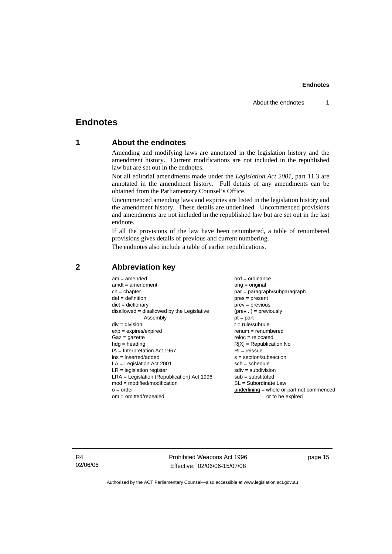#### <span id="page-18-0"></span>**Endnotes**

#### **1 About the endnotes**

Amending and modifying laws are annotated in the legislation history and the amendment history. Current modifications are not included in the republished law but are set out in the endnotes.

Not all editorial amendments made under the *Legislation Act 2001*, part 11.3 are annotated in the amendment history. Full details of any amendments can be obtained from the Parliamentary Counsel's Office.

Uncommenced amending laws and expiries are listed in the legislation history and the amendment history. These details are underlined. Uncommenced provisions and amendments are not included in the republished law but are set out in the last endnote.

If all the provisions of the law have been renumbered, a table of renumbered provisions gives details of previous and current numbering.

The endnotes also include a table of earlier republications.

| $am = amended$<br>$amdt = amendment$<br>$ch = chapter$<br>$def = definition$<br>$dict = dictionary$<br>$disallowed = disallowed by the Legislative$<br>Assembly<br>$div = division$<br>$exp = expires/expired$<br>$Gaz = qazette$<br>$hdg =$ heading<br>$IA = Interpretation Act 1967$<br>$ins = inserted/added$<br>$LA =$ Legislation Act 2001<br>$LR =$ legislation register<br>$LRA =$ Legislation (Republication) Act 1996<br>$mod = modified/modification$<br>$o = order$ | $ord = ordinance$<br>$orig = original$<br>par = paragraph/subparagraph<br>$pres = present$<br>$prev = previous$<br>$(\text{prev}) = \text{previously}$<br>$pt = part$<br>$r = rule/subrule$<br>$renum = renumbered$<br>$reloc = relocated$<br>$R[X]$ = Republication No<br>$RI = reissue$<br>$s = section/subsection$<br>$sch = schedule$<br>$sdiv = subdivision$<br>$sub =$ substituted<br>$SL = Subordinate$ Law<br>underlining = whole or part not commenced |
|--------------------------------------------------------------------------------------------------------------------------------------------------------------------------------------------------------------------------------------------------------------------------------------------------------------------------------------------------------------------------------------------------------------------------------------------------------------------------------|-----------------------------------------------------------------------------------------------------------------------------------------------------------------------------------------------------------------------------------------------------------------------------------------------------------------------------------------------------------------------------------------------------------------------------------------------------------------|
| $om = omitted/repealed$                                                                                                                                                                                                                                                                                                                                                                                                                                                        | or to be expired                                                                                                                                                                                                                                                                                                                                                                                                                                                |
|                                                                                                                                                                                                                                                                                                                                                                                                                                                                                |                                                                                                                                                                                                                                                                                                                                                                                                                                                                 |

#### **2 Abbreviation key**

R4 02/06/06 Prohibited Weapons Act 1996 Effective: 02/06/06-15/07/08

page 15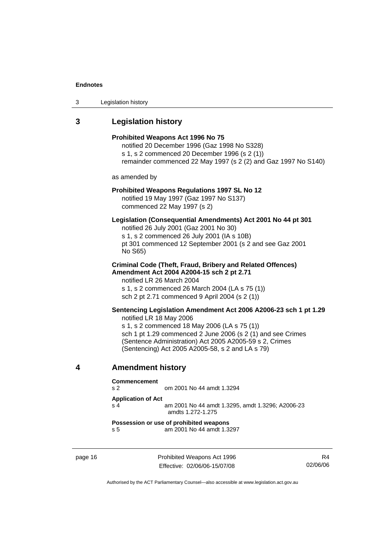<span id="page-19-0"></span>

| 3 | Legislation history |  |
|---|---------------------|--|
|---|---------------------|--|

### **3 Legislation history**

|   |                                                                                                                                                                                                                                                                                                                                                                                                                                                                                                                                                                              | Prohibited Weapons Act 1996 No 75<br>notified 20 December 1996 (Gaz 1998 No S328)<br>s 1, s 2 commenced 20 December 1996 (s 2 (1))<br>remainder commenced 22 May 1997 (s 2 (2) and Gaz 1997 No S140)             |  |  |
|---|------------------------------------------------------------------------------------------------------------------------------------------------------------------------------------------------------------------------------------------------------------------------------------------------------------------------------------------------------------------------------------------------------------------------------------------------------------------------------------------------------------------------------------------------------------------------------|------------------------------------------------------------------------------------------------------------------------------------------------------------------------------------------------------------------|--|--|
|   | as amended by                                                                                                                                                                                                                                                                                                                                                                                                                                                                                                                                                                |                                                                                                                                                                                                                  |  |  |
|   | <b>Prohibited Weapons Regulations 1997 SL No 12</b><br>notified 19 May 1997 (Gaz 1997 No S137)<br>commenced 22 May 1997 (s 2)                                                                                                                                                                                                                                                                                                                                                                                                                                                |                                                                                                                                                                                                                  |  |  |
|   | No S65)                                                                                                                                                                                                                                                                                                                                                                                                                                                                                                                                                                      | Legislation (Consequential Amendments) Act 2001 No 44 pt 301<br>notified 26 July 2001 (Gaz 2001 No 30)<br>s 1, s 2 commenced 26 July 2001 (IA s 10B)<br>pt 301 commenced 12 September 2001 (s 2 and see Gaz 2001 |  |  |
|   | <b>Criminal Code (Theft, Fraud, Bribery and Related Offences)</b><br>Amendment Act 2004 A2004-15 sch 2 pt 2.71<br>notified LR 26 March 2004<br>s 1, s 2 commenced 26 March 2004 (LA s 75 (1))<br>sch 2 pt 2.71 commenced 9 April 2004 (s 2 (1))<br>Sentencing Legislation Amendment Act 2006 A2006-23 sch 1 pt 1.29<br>notified LR 18 May 2006<br>s 1, s 2 commenced 18 May 2006 (LA s 75 (1))<br>sch 1 pt 1.29 commenced 2 June 2006 (s 2 (1) and see Crimes<br>(Sentence Administration) Act 2005 A2005-59 s 2, Crimes<br>(Sentencing) Act 2005 A2005-58, s 2 and LA s 79) |                                                                                                                                                                                                                  |  |  |
|   |                                                                                                                                                                                                                                                                                                                                                                                                                                                                                                                                                                              |                                                                                                                                                                                                                  |  |  |
| 4 | <b>Amendment history</b>                                                                                                                                                                                                                                                                                                                                                                                                                                                                                                                                                     |                                                                                                                                                                                                                  |  |  |
|   | <b>Commencement</b><br>s <sub>2</sub>                                                                                                                                                                                                                                                                                                                                                                                                                                                                                                                                        | om 2001 No 44 amdt 1.3294                                                                                                                                                                                        |  |  |
|   | <b>Application of Act</b><br>s 4                                                                                                                                                                                                                                                                                                                                                                                                                                                                                                                                             | am 2001 No 44 amdt 1.3295, amdt 1.3296; A2006-23<br>amdts 1.272-1.275                                                                                                                                            |  |  |
|   | Possession or use of prohibited weapons<br>s 5<br>am 2001 No 44 amdt 1.3297                                                                                                                                                                                                                                                                                                                                                                                                                                                                                                  |                                                                                                                                                                                                                  |  |  |

page 16 **Prohibited Weapons Act 1996** Effective: 02/06/06-15/07/08

R4 02/06/06